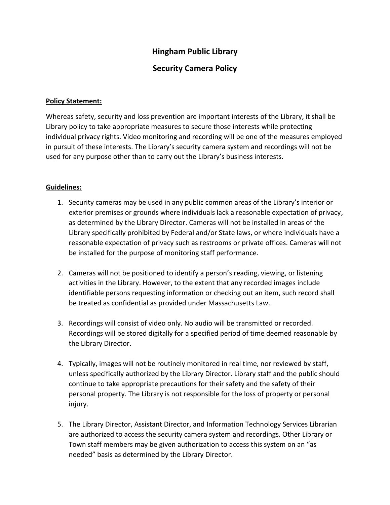## **Hingham Public Library**

## **Security Camera Policy**

## **Policy Statement:**

Whereas safety, security and loss prevention are important interests of the Library, it shall be Library policy to take appropriate measures to secure those interests while protecting individual privacy rights. Video monitoring and recording will be one of the measures employed in pursuit of these interests. The Library's security camera system and recordings will not be used for any purpose other than to carry out the Library's business interests.

## **Guidelines:**

- 1. Security cameras may be used in any public common areas of the Library's interior or exterior premises or grounds where individuals lack a reasonable expectation of privacy, as determined by the Library Director. Cameras will not be installed in areas of the Library specifically prohibited by Federal and/or State laws, or where individuals have a reasonable expectation of privacy such as restrooms or private offices. Cameras will not be installed for the purpose of monitoring staff performance.
- 2. Cameras will not be positioned to identify a person's reading, viewing, or listening activities in the Library. However, to the extent that any recorded images include identifiable persons requesting information or checking out an item, such record shall be treated as confidential as provided under Massachusetts Law.
- 3. Recordings will consist of video only. No audio will be transmitted or recorded. Recordings will be stored digitally for a specified period of time deemed reasonable by the Library Director.
- 4. Typically, images will not be routinely monitored in real time, nor reviewed by staff, unless specifically authorized by the Library Director. Library staff and the public should continue to take appropriate precautions for their safety and the safety of their personal property. The Library is not responsible for the loss of property or personal injury.
- 5. The Library Director, Assistant Director, and Information Technology Services Librarian are authorized to access the security camera system and recordings. Other Library or Town staff members may be given authorization to access this system on an "as needed" basis as determined by the Library Director.